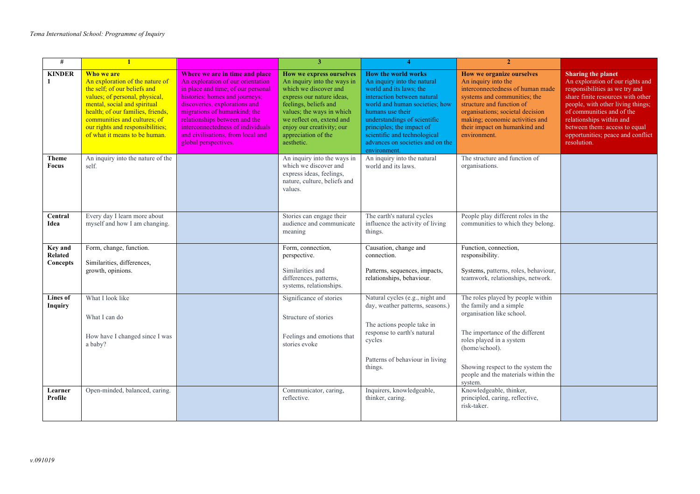| #                                     | $\mathbf{1}$                                                                                                                                                                                                                                                                              |                                                                                                                                                                                                                                                                                                                                                 | 3                                                                                                                                                                                                                                                                  |                                                                                                                                                                                                                                                                                                                            | $\overline{2}$                                                                                                                                                                                                                                                            |                                                                                                                                                                                                                                                                                                                         |
|---------------------------------------|-------------------------------------------------------------------------------------------------------------------------------------------------------------------------------------------------------------------------------------------------------------------------------------------|-------------------------------------------------------------------------------------------------------------------------------------------------------------------------------------------------------------------------------------------------------------------------------------------------------------------------------------------------|--------------------------------------------------------------------------------------------------------------------------------------------------------------------------------------------------------------------------------------------------------------------|----------------------------------------------------------------------------------------------------------------------------------------------------------------------------------------------------------------------------------------------------------------------------------------------------------------------------|---------------------------------------------------------------------------------------------------------------------------------------------------------------------------------------------------------------------------------------------------------------------------|-------------------------------------------------------------------------------------------------------------------------------------------------------------------------------------------------------------------------------------------------------------------------------------------------------------------------|
| <b>KINDER</b><br>1                    | Who we are<br>An exploration of the nature of<br>the self; of our beliefs and<br>values; of personal, physical,<br>mental, social and spiritual<br>health; of our families, friends,<br>communities and cultures; of<br>our rights and responsibilities;<br>of what it means to be human. | Where we are in time and place<br>An exploration of our orientation<br>in place and time; of our personal<br>histories; homes and journeys;<br>discoveries, explorations and<br>migrations of humankind; the<br>relationships between and the<br>interconnectedness of individuals<br>and civilisations, from local and<br>global perspectives. | How we express ourselves<br>An inquiry into the ways in<br>which we discover and<br>express our nature ideas,<br>feelings, beliefs and<br>values; the ways in which<br>we reflect on, extend and<br>enjoy our creativity; our<br>appreciation of the<br>aesthetic. | <b>How the world works</b><br>An inquiry into the natural<br>world and its laws; the<br>interaction between natural<br>world and human societies; how<br>humans use their<br>understandings of scientific<br>principles; the impact of<br>scientific and technological<br>advances on societies and on the<br>environment. | How we organize ourselves<br>An inquiry into the<br>interconnectedness of human made<br>systems and communities; the<br>structure and function of<br>organisations; societal decision<br>making; economic activities and<br>their impact on humankind and<br>environment. | <b>Sharing the planet</b><br>An exploration of our rights and<br>responsibilities as we try and<br>share finite resources with other<br>people, with other living things;<br>of communities and of the<br>relationships within and<br>between them: access to equal<br>opportunities; peace and conflict<br>resolution. |
| <b>Theme</b><br><b>Focus</b>          | An inquiry into the nature of the<br>self.                                                                                                                                                                                                                                                |                                                                                                                                                                                                                                                                                                                                                 | An inquiry into the ways in<br>which we discover and<br>express ideas, feelings,<br>nature, culture, beliefs and<br>values.                                                                                                                                        | An inquiry into the natural<br>world and its laws.                                                                                                                                                                                                                                                                         | The structure and function of<br>organisations.                                                                                                                                                                                                                           |                                                                                                                                                                                                                                                                                                                         |
| Central<br>Idea                       | Every day I learn more about<br>myself and how I am changing.                                                                                                                                                                                                                             |                                                                                                                                                                                                                                                                                                                                                 | Stories can engage their<br>audience and communicate<br>meaning                                                                                                                                                                                                    | The earth's natural cycles<br>influence the activity of living<br>things.                                                                                                                                                                                                                                                  | People play different roles in the<br>communities to which they belong.                                                                                                                                                                                                   |                                                                                                                                                                                                                                                                                                                         |
| <b>Key and</b><br>Related<br>Concepts | Form, change, function.<br>Similarities, differences,<br>growth, opinions.                                                                                                                                                                                                                |                                                                                                                                                                                                                                                                                                                                                 | Form, connection,<br>perspective.<br>Similarities and<br>differences, patterns,<br>systems, relationships.                                                                                                                                                         | Causation, change and<br>connection.<br>Patterns, sequences, impacts,<br>relationships, behaviour.                                                                                                                                                                                                                         | Function, connection,<br>responsibility.<br>Systems, patterns, roles, behaviour,<br>teamwork, relationships, network.                                                                                                                                                     |                                                                                                                                                                                                                                                                                                                         |
| Lines of<br>Inquiry                   | What I look like<br>What I can do<br>How have I changed since I was<br>a baby?                                                                                                                                                                                                            |                                                                                                                                                                                                                                                                                                                                                 | Significance of stories<br>Structure of stories<br>Feelings and emotions that<br>stories evoke                                                                                                                                                                     | Natural cycles (e.g., night and<br>day, weather patterns, seasons.)<br>The actions people take in<br>response to earth's natural<br>cycles<br>Patterns of behaviour in living<br>things.                                                                                                                                   | The roles played by people within<br>the family and a simple<br>organisation like school.<br>The importance of the different<br>roles played in a system<br>(home/school).<br>Showing respect to the system the<br>people and the materials within the<br>system.         |                                                                                                                                                                                                                                                                                                                         |
| Learner<br>Profile                    | Open-minded, balanced, caring.                                                                                                                                                                                                                                                            |                                                                                                                                                                                                                                                                                                                                                 | Communicator, caring,<br>reflective.                                                                                                                                                                                                                               | Inquirers, knowledgeable,<br>thinker, caring.                                                                                                                                                                                                                                                                              | Knowledgeable, thinker,<br>principled, caring, reflective,<br>risk-taker.                                                                                                                                                                                                 |                                                                                                                                                                                                                                                                                                                         |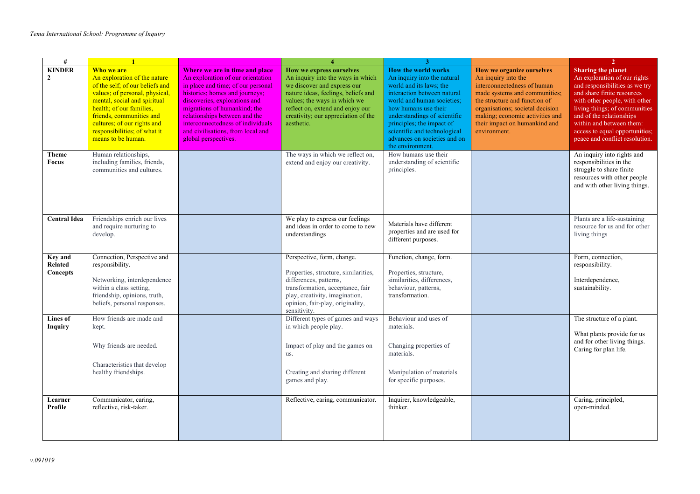| #                              |                                                                                                                                                                                                                                                                                              |                                                                                                                                                                                                                                                                                                                                                 | $\boldsymbol{\Lambda}$                                                                                                                                                                                                                                       |                                                                                                                                                                                                                                                                                                                            |                                                                                                                                                                                                                                                                           | $\overline{2}$                                                                                                                                                                                                                                                                                                          |
|--------------------------------|----------------------------------------------------------------------------------------------------------------------------------------------------------------------------------------------------------------------------------------------------------------------------------------------|-------------------------------------------------------------------------------------------------------------------------------------------------------------------------------------------------------------------------------------------------------------------------------------------------------------------------------------------------|--------------------------------------------------------------------------------------------------------------------------------------------------------------------------------------------------------------------------------------------------------------|----------------------------------------------------------------------------------------------------------------------------------------------------------------------------------------------------------------------------------------------------------------------------------------------------------------------------|---------------------------------------------------------------------------------------------------------------------------------------------------------------------------------------------------------------------------------------------------------------------------|-------------------------------------------------------------------------------------------------------------------------------------------------------------------------------------------------------------------------------------------------------------------------------------------------------------------------|
| <b>KINDER</b><br>$\mathbf{2}$  | Who we are<br>An exploration of the nature<br>of the self; of our beliefs and<br>values; of personal, physical,<br>mental, social and spiritual<br>health; of our families,<br>friends, communities and<br>cultures; of our rights and<br>responsibilities; of what it<br>means to be human. | Where we are in time and place<br>An exploration of our orientation<br>in place and time; of our personal<br>histories; homes and journeys;<br>discoveries, explorations and<br>migrations of humankind; the<br>relationships between and the<br>interconnectedness of individuals<br>and civilisations, from local and<br>global perspectives. | How we express ourselves<br>An inquiry into the ways in which<br>we discover and express our<br>nature ideas, feelings, beliefs and<br>values; the ways in which we<br>reflect on, extend and enjoy our<br>creativity; our appreciation of the<br>aesthetic. | <b>How the world works</b><br>An inquiry into the natural<br>world and its laws; the<br>interaction between natural<br>world and human societies;<br>how humans use their<br>understandings of scientific<br>principles; the impact of<br>scientific and technological<br>advances on societies and on<br>the environment. | How we organize ourselves<br>An inquiry into the<br>interconnectedness of human<br>made systems and communities;<br>the structure and function of<br>organisations; societal decision<br>making; economic activities and<br>their impact on humankind and<br>environment. | <b>Sharing the planet</b><br>An exploration of our rights<br>and responsibilities as we try<br>and share finite resources<br>with other people, with other<br>living things; of communities<br>and of the relationships<br>within and between them:<br>access to equal opportunities;<br>peace and conflict resolution. |
| <b>Theme</b><br><b>Focus</b>   | Human relationships,<br>including families, friends,<br>communities and cultures.                                                                                                                                                                                                            |                                                                                                                                                                                                                                                                                                                                                 | The ways in which we reflect on,<br>extend and enjoy our creativity.                                                                                                                                                                                         | How humans use their<br>understanding of scientific<br>principles.                                                                                                                                                                                                                                                         |                                                                                                                                                                                                                                                                           | An inquiry into rights and<br>responsibilities in the<br>struggle to share finite<br>resources with other people<br>and with other living things.                                                                                                                                                                       |
| <b>Central Idea</b>            | Friendships enrich our lives<br>and require nurturing to<br>develop.                                                                                                                                                                                                                         |                                                                                                                                                                                                                                                                                                                                                 | We play to express our feelings<br>and ideas in order to come to new<br>understandings                                                                                                                                                                       | Materials have different<br>properties and are used for<br>different purposes.                                                                                                                                                                                                                                             |                                                                                                                                                                                                                                                                           | Plants are a life-sustaining<br>resource for us and for other<br>living things                                                                                                                                                                                                                                          |
| Key and<br>Related<br>Concepts | Connection, Perspective and<br>responsibility.<br>Networking, interdependence<br>within a class setting,<br>friendship, opinions, truth,<br>beliefs, personal responses.                                                                                                                     |                                                                                                                                                                                                                                                                                                                                                 | Perspective, form, change.<br>Properties, structure, similarities,<br>differences, patterns,<br>transformation, acceptance, fair<br>play, creativity, imagination,<br>opinion, fair-play, originality,<br>sensitivity.                                       | Function, change, form.<br>Properties, structure,<br>similarities, differences,<br>behaviour, patterns,<br>transformation.                                                                                                                                                                                                 |                                                                                                                                                                                                                                                                           | Form, connection,<br>responsibility.<br>Interdependence,<br>sustainability.                                                                                                                                                                                                                                             |
| Lines of<br>Inquiry            | How friends are made and<br>kept.<br>Why friends are needed.<br>Characteristics that develop<br>healthy friendships.                                                                                                                                                                         |                                                                                                                                                                                                                                                                                                                                                 | Different types of games and ways<br>in which people play.<br>Impact of play and the games on<br>us.<br>Creating and sharing different<br>games and play.                                                                                                    | Behaviour and uses of<br>materials.<br>Changing properties of<br>materials.<br>Manipulation of materials<br>for specific purposes.                                                                                                                                                                                         |                                                                                                                                                                                                                                                                           | The structure of a plant.<br>What plants provide for us<br>and for other living things.<br>Caring for plan life.                                                                                                                                                                                                        |
| Learner<br>Profile             | Communicator, caring,<br>reflective, risk-taker.                                                                                                                                                                                                                                             |                                                                                                                                                                                                                                                                                                                                                 | Reflective, caring, communicator.                                                                                                                                                                                                                            | Inquirer, knowledgeable,<br>thinker.                                                                                                                                                                                                                                                                                       |                                                                                                                                                                                                                                                                           | Caring, principled,<br>open-minded.                                                                                                                                                                                                                                                                                     |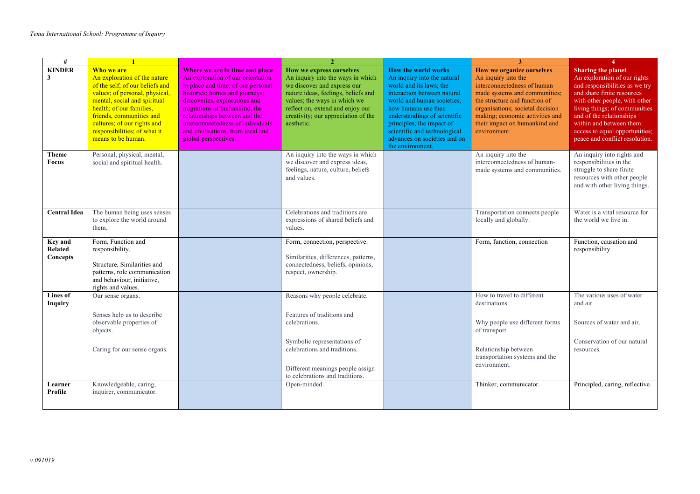| #                                     |                                                                                                                                                                                                                                                                                              |                                                                                                                                                                                                                                                                                                                                                 |                                                                                                                                                                                                                                                              |                                                                                                                                                                                                                                                                                                                            | 3                                                                                                                                                                                                                                                                                | $\overline{4}$                                                                                                                                                                                                                                                                                                          |
|---------------------------------------|----------------------------------------------------------------------------------------------------------------------------------------------------------------------------------------------------------------------------------------------------------------------------------------------|-------------------------------------------------------------------------------------------------------------------------------------------------------------------------------------------------------------------------------------------------------------------------------------------------------------------------------------------------|--------------------------------------------------------------------------------------------------------------------------------------------------------------------------------------------------------------------------------------------------------------|----------------------------------------------------------------------------------------------------------------------------------------------------------------------------------------------------------------------------------------------------------------------------------------------------------------------------|----------------------------------------------------------------------------------------------------------------------------------------------------------------------------------------------------------------------------------------------------------------------------------|-------------------------------------------------------------------------------------------------------------------------------------------------------------------------------------------------------------------------------------------------------------------------------------------------------------------------|
| <b>KINDER</b><br>3                    | Who we are<br>An exploration of the nature<br>of the self; of our beliefs and<br>values; of personal, physical,<br>mental, social and spiritual<br>health; of our families,<br>friends, communities and<br>cultures; of our rights and<br>responsibilities; of what it<br>means to be human. | Where we are in time and place<br>An exploration of our orientation<br>in place and time; of our personal<br>histories; homes and journeys;<br>discoveries, explorations and<br>migrations of humankind; the<br>relationships between and the<br>interconnectedness of individuals<br>and civilisations, from local and<br>global perspectives. | How we express ourselves<br>An inquiry into the ways in which<br>we discover and express our<br>nature ideas, feelings, beliefs and<br>values; the ways in which we<br>reflect on, extend and enjoy our<br>creativity; our appreciation of the<br>aesthetic. | <b>How the world works</b><br>An inquiry into the natural<br>world and its laws; the<br>interaction between natural<br>world and human societies:<br>how humans use their<br>understandings of scientific<br>principles; the impact of<br>scientific and technological<br>advances on societies and on<br>the environment. | <b>How we organize ourselves</b><br>An inquiry into the<br>interconnectedness of human<br>made systems and communities;<br>the structure and function of<br>organisations; societal decision<br>making; economic activities and<br>their impact on humankind and<br>environment. | <b>Sharing the planet</b><br>An exploration of our rights<br>and responsibilities as we try<br>and share finite resources<br>with other people, with other<br>living things; of communities<br>and of the relationships<br>within and between them:<br>access to equal opportunities;<br>peace and conflict resolution. |
| <b>Theme</b><br><b>Focus</b>          | Personal, physical, mental,<br>social and spiritual health.                                                                                                                                                                                                                                  |                                                                                                                                                                                                                                                                                                                                                 | An inquiry into the ways in which<br>we discover and express ideas,<br>feelings, nature, culture, beliefs<br>and values.                                                                                                                                     |                                                                                                                                                                                                                                                                                                                            | An inquiry into the<br>interconnectedness of human-<br>made systems and communities.                                                                                                                                                                                             | An inquiry into rights and<br>responsibilities in the<br>struggle to share finite<br>resources with other people<br>and with other living things.                                                                                                                                                                       |
| <b>Central Idea</b>                   | The human being uses senses<br>to explore the world around<br>them.                                                                                                                                                                                                                          |                                                                                                                                                                                                                                                                                                                                                 | Celebrations and traditions are<br>expressions of shared beliefs and<br>values.                                                                                                                                                                              |                                                                                                                                                                                                                                                                                                                            | Transportation connects people<br>locally and globally.                                                                                                                                                                                                                          | Water is a vital resource for<br>the world we live in.                                                                                                                                                                                                                                                                  |
| <b>Kev</b> and<br>Related<br>Concepts | Form, Function and<br>responsibility.<br>Structure, Similarities and<br>patterns, role communication<br>and behaviour, initiative,<br>rights and values.                                                                                                                                     |                                                                                                                                                                                                                                                                                                                                                 | Form, connection, perspective.<br>Similarities, differences, patterns,<br>connectedness, beliefs, opinions,<br>respect, ownership.                                                                                                                           |                                                                                                                                                                                                                                                                                                                            | Form, function, connection                                                                                                                                                                                                                                                       | Function, causation and<br>responsibility.                                                                                                                                                                                                                                                                              |
| Lines of<br><b>Inquiry</b>            | Our sense organs.<br>Senses help us to describe<br>observable properties of<br>objects.                                                                                                                                                                                                      |                                                                                                                                                                                                                                                                                                                                                 | Reasons why people celebrate.<br>Features of traditions and<br>celebrations.                                                                                                                                                                                 |                                                                                                                                                                                                                                                                                                                            | How to travel to different<br>destinations.<br>Why people use different forms<br>of transport                                                                                                                                                                                    | The various uses of water<br>and air.<br>Sources of water and air.                                                                                                                                                                                                                                                      |
|                                       | Caring for our sense organs.                                                                                                                                                                                                                                                                 |                                                                                                                                                                                                                                                                                                                                                 | Symbolic representations of<br>celebrations and traditions.<br>Different meanings people assign<br>to celebrations and traditions.                                                                                                                           |                                                                                                                                                                                                                                                                                                                            | Relationship between<br>transportation systems and the<br>environment.                                                                                                                                                                                                           | Conservation of our natural<br>resources.                                                                                                                                                                                                                                                                               |
| Learner<br>Profile                    | Knowledgeable, caring,<br>inquirer, communicator.                                                                                                                                                                                                                                            |                                                                                                                                                                                                                                                                                                                                                 | Open-minded.                                                                                                                                                                                                                                                 |                                                                                                                                                                                                                                                                                                                            | Thinker, communicator.                                                                                                                                                                                                                                                           | Principled, caring, reflective.                                                                                                                                                                                                                                                                                         |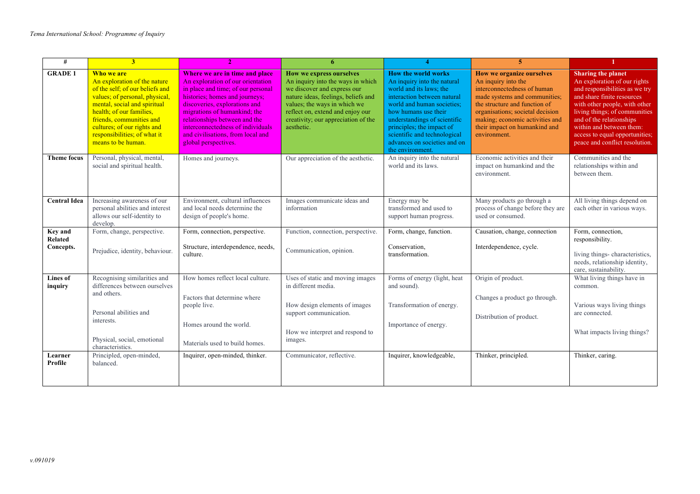| #                                      | 3 <sup>1</sup>                                                                                                                                                                                                                                                                               |                                                                                                                                                                                                                                                                                                                                                 | 6                                                                                                                                                                                                                                                                   |                                                                                                                                                                                                                                                                                                                            | $\overline{5}$                                                                                                                                                                                                                                                                   |                                                                                                                                                                                                                                                                                                                         |
|----------------------------------------|----------------------------------------------------------------------------------------------------------------------------------------------------------------------------------------------------------------------------------------------------------------------------------------------|-------------------------------------------------------------------------------------------------------------------------------------------------------------------------------------------------------------------------------------------------------------------------------------------------------------------------------------------------|---------------------------------------------------------------------------------------------------------------------------------------------------------------------------------------------------------------------------------------------------------------------|----------------------------------------------------------------------------------------------------------------------------------------------------------------------------------------------------------------------------------------------------------------------------------------------------------------------------|----------------------------------------------------------------------------------------------------------------------------------------------------------------------------------------------------------------------------------------------------------------------------------|-------------------------------------------------------------------------------------------------------------------------------------------------------------------------------------------------------------------------------------------------------------------------------------------------------------------------|
| <b>GRADE 1</b>                         | Who we are<br>An exploration of the nature<br>of the self; of our beliefs and<br>values; of personal, physical,<br>mental, social and spiritual<br>health; of our families,<br>friends, communities and<br>cultures; of our rights and<br>responsibilities; of what it<br>means to be human. | Where we are in time and place<br>An exploration of our orientation<br>in place and time; of our personal<br>histories; homes and journeys;<br>discoveries, explorations and<br>migrations of humankind; the<br>relationships between and the<br>interconnectedness of individuals<br>and civilisations, from local and<br>global perspectives. | <b>How we express ourselves</b><br>An inquiry into the ways in which<br>we discover and express our<br>nature ideas, feelings, beliefs and<br>values; the ways in which we<br>reflect on, extend and enjoy our<br>creativity; our appreciation of the<br>aesthetic. | <b>How the world works</b><br>An inquiry into the natural<br>world and its laws; the<br>interaction between natural<br>world and human societies:<br>how humans use their<br>understandings of scientific<br>principles; the impact of<br>scientific and technological<br>advances on societies and on<br>the environment. | <b>How we organize ourselves</b><br>An inquiry into the<br>interconnectedness of human<br>made systems and communities;<br>the structure and function of<br>organisations; societal decision<br>making; economic activities and<br>their impact on humankind and<br>environment. | <b>Sharing the planet</b><br>An exploration of our rights<br>and responsibilities as we try<br>and share finite resources<br>with other people, with other<br>living things; of communities<br>and of the relationships<br>within and between them:<br>access to equal opportunities;<br>peace and conflict resolution. |
| <b>Theme focus</b>                     | Personal, physical, mental,<br>social and spiritual health.                                                                                                                                                                                                                                  | Homes and journeys.                                                                                                                                                                                                                                                                                                                             | Our appreciation of the aesthetic.                                                                                                                                                                                                                                  | An inquiry into the natural<br>world and its laws.                                                                                                                                                                                                                                                                         | Economic activities and their<br>impact on humankind and the<br>environment.                                                                                                                                                                                                     | Communities and the<br>relationships within and<br>between them.                                                                                                                                                                                                                                                        |
| <b>Central Idea</b>                    | Increasing awareness of our<br>personal abilities and interest<br>allows our self-identity to<br>develop.                                                                                                                                                                                    | Environment, cultural influences<br>and local needs determine the<br>design of people's home.                                                                                                                                                                                                                                                   | Images communicate ideas and<br>information                                                                                                                                                                                                                         | Energy may be<br>transformed and used to<br>support human progress.                                                                                                                                                                                                                                                        | Many products go through a<br>process of change before they are<br>used or consumed.                                                                                                                                                                                             | All living things depend on<br>each other in various ways.                                                                                                                                                                                                                                                              |
| Key and<br><b>Related</b><br>Concepts. | Form, change, perspective.<br>Prejudice, identity, behaviour.                                                                                                                                                                                                                                | Form, connection, perspective.<br>Structure, interdependence, needs,<br>culture.                                                                                                                                                                                                                                                                | Function, connection, perspective.<br>Communication, opinion.                                                                                                                                                                                                       | Form, change, function.<br>Conservation,<br>transformation.                                                                                                                                                                                                                                                                | Causation, change, connection<br>Interdependence, cycle.                                                                                                                                                                                                                         | Form, connection,<br>responsibility.<br>living things-characteristics,<br>needs, relationship identity,<br>care, sustainability.                                                                                                                                                                                        |
| Lines of<br>inquiry                    | Recognising similarities and<br>differences between ourselves<br>and others.<br>Personal abilities and<br>interests.<br>Physical, social, emotional<br>characteristics.                                                                                                                      | How homes reflect local culture.<br>Factors that determine where<br>people live.<br>Homes around the world.<br>Materials used to build homes.                                                                                                                                                                                                   | Uses of static and moving images<br>in different media.<br>How design elements of images<br>support communication.<br>How we interpret and respond to<br>images.                                                                                                    | Forms of energy (light, heat<br>and sound).<br>Transformation of energy.<br>Importance of energy.                                                                                                                                                                                                                          | Origin of product.<br>Changes a product go through.<br>Distribution of product.                                                                                                                                                                                                  | What living things have in<br>common.<br>Various ways living things<br>are connected.<br>What impacts living things?                                                                                                                                                                                                    |
| Learner<br>Profile                     | Principled, open-minded,<br>balanced.                                                                                                                                                                                                                                                        | Inquirer, open-minded, thinker.                                                                                                                                                                                                                                                                                                                 | Communicator, reflective.                                                                                                                                                                                                                                           | Inquirer, knowledgeable,                                                                                                                                                                                                                                                                                                   | Thinker, principled.                                                                                                                                                                                                                                                             | Thinker, caring.                                                                                                                                                                                                                                                                                                        |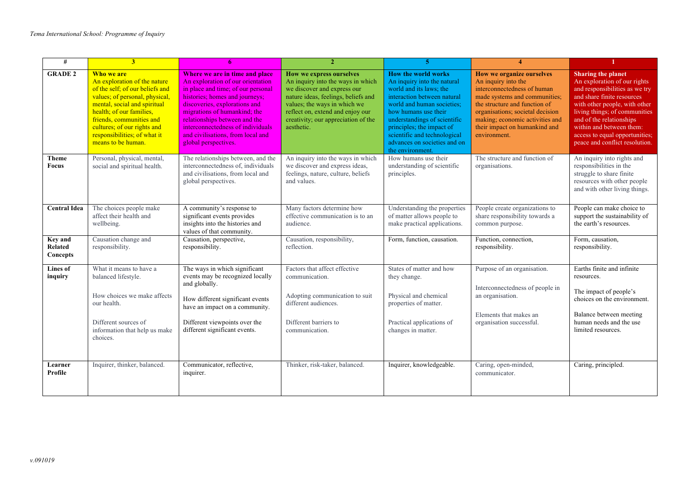| #                                     | $\overline{3}$                                                                                                                                                                                                                                                                               |                                                                                                                                                                                                                                                                                                                                                 | $\mathcal{D}$                                                                                                                                                                                                                                                | 5.                                                                                                                                                                                                                                                                                                                         | $\boldsymbol{\Lambda}$                                                                                                                                                                                                                                                    |                                                                                                                                                                                                                                                                                                                         |
|---------------------------------------|----------------------------------------------------------------------------------------------------------------------------------------------------------------------------------------------------------------------------------------------------------------------------------------------|-------------------------------------------------------------------------------------------------------------------------------------------------------------------------------------------------------------------------------------------------------------------------------------------------------------------------------------------------|--------------------------------------------------------------------------------------------------------------------------------------------------------------------------------------------------------------------------------------------------------------|----------------------------------------------------------------------------------------------------------------------------------------------------------------------------------------------------------------------------------------------------------------------------------------------------------------------------|---------------------------------------------------------------------------------------------------------------------------------------------------------------------------------------------------------------------------------------------------------------------------|-------------------------------------------------------------------------------------------------------------------------------------------------------------------------------------------------------------------------------------------------------------------------------------------------------------------------|
| <b>GRADE 2</b>                        | Who we are<br>An exploration of the nature<br>of the self; of our beliefs and<br>values; of personal, physical,<br>mental, social and spiritual<br>health; of our families,<br>friends, communities and<br>cultures; of our rights and<br>responsibilities; of what it<br>means to be human. | Where we are in time and place<br>An exploration of our orientation<br>in place and time; of our personal<br>histories; homes and journeys;<br>discoveries, explorations and<br>migrations of humankind; the<br>relationships between and the<br>interconnectedness of individuals<br>and civilisations, from local and<br>global perspectives. | How we express ourselves<br>An inquiry into the ways in which<br>we discover and express our<br>nature ideas, feelings, beliefs and<br>values; the ways in which we<br>reflect on, extend and enjoy our<br>creativity; our appreciation of the<br>aesthetic. | <b>How the world works</b><br>An inquiry into the natural<br>world and its laws; the<br>interaction between natural<br>world and human societies:<br>how humans use their<br>understandings of scientific<br>principles; the impact of<br>scientific and technological<br>advances on societies and on<br>the environment. | How we organize ourselves<br>An inquiry into the<br>interconnectedness of human<br>made systems and communities;<br>the structure and function of<br>organisations; societal decision<br>making; economic activities and<br>their impact on humankind and<br>environment. | <b>Sharing the planet</b><br>An exploration of our rights<br>and responsibilities as we try<br>and share finite resources<br>with other people, with other<br>living things; of communities<br>and of the relationships<br>within and between them:<br>access to equal opportunities;<br>peace and conflict resolution. |
| <b>Theme</b><br>Focus                 | Personal, physical, mental,<br>social and spiritual health.                                                                                                                                                                                                                                  | The relationships between, and the<br>interconnectedness of, individuals<br>and civilisations, from local and<br>global perspectives.                                                                                                                                                                                                           | An inquiry into the ways in which<br>we discover and express ideas,<br>feelings, nature, culture, beliefs<br>and values.                                                                                                                                     | How humans use their<br>understanding of scientific<br>principles.                                                                                                                                                                                                                                                         | The structure and function of<br>organisations.                                                                                                                                                                                                                           | An inquiry into rights and<br>responsibilities in the<br>struggle to share finite<br>resources with other people<br>and with other living things.                                                                                                                                                                       |
| <b>Central Idea</b>                   | The choices people make<br>affect their health and<br>wellbeing.                                                                                                                                                                                                                             | A community's response to<br>significant events provides<br>insights into the histories and<br>values of that community.                                                                                                                                                                                                                        | Many factors determine how<br>effective communication is to an<br>audience.                                                                                                                                                                                  | Understanding the properties<br>of matter allows people to<br>make practical applications.                                                                                                                                                                                                                                 | People create organizations to<br>share responsibility towards a<br>common purpose.                                                                                                                                                                                       | People can make choice to<br>support the sustainability of<br>the earth's resources.                                                                                                                                                                                                                                    |
| Key and<br><b>Related</b><br>Concepts | Causation change and<br>responsibility.                                                                                                                                                                                                                                                      | Causation, perspective,<br>responsibility.                                                                                                                                                                                                                                                                                                      | Causation, responsibility,<br>reflection.                                                                                                                                                                                                                    | Form, function, causation.                                                                                                                                                                                                                                                                                                 | Function, connection,<br>responsibility.                                                                                                                                                                                                                                  | Form, causation,<br>responsibility.                                                                                                                                                                                                                                                                                     |
| Lines of<br>inquiry                   | What it means to have a<br>balanced lifestyle.<br>How choices we make affects<br>our health.<br>Different sources of<br>information that help us make<br>choices.                                                                                                                            | The ways in which significant<br>events may be recognized locally<br>and globally.<br>How different significant events<br>have an impact on a community.<br>Different viewpoints over the<br>different significant events.                                                                                                                      | Factors that affect effective<br>communication.<br>Adopting communication to suit<br>different audiences.<br>Different barriers to<br>communication.                                                                                                         | States of matter and how<br>they change.<br>Physical and chemical<br>properties of matter.<br>Practical applications of<br>changes in matter.                                                                                                                                                                              | Purpose of an organisation.<br>Interconnectedness of people in<br>an organisation.<br>Elements that makes an<br>organisation successful.                                                                                                                                  | Earths finite and infinite<br>resources.<br>The impact of people's<br>choices on the environment.<br>Balance between meeting<br>human needs and the use<br>limited resources.                                                                                                                                           |
| Learner<br>Profile                    | Inquirer, thinker, balanced.                                                                                                                                                                                                                                                                 | Communicator, reflective,<br>inquirer.                                                                                                                                                                                                                                                                                                          | Thinker, risk-taker, balanced.                                                                                                                                                                                                                               | Inquirer, knowledgeable.                                                                                                                                                                                                                                                                                                   | Caring, open-minded,<br>communicator.                                                                                                                                                                                                                                     | Caring, principled.                                                                                                                                                                                                                                                                                                     |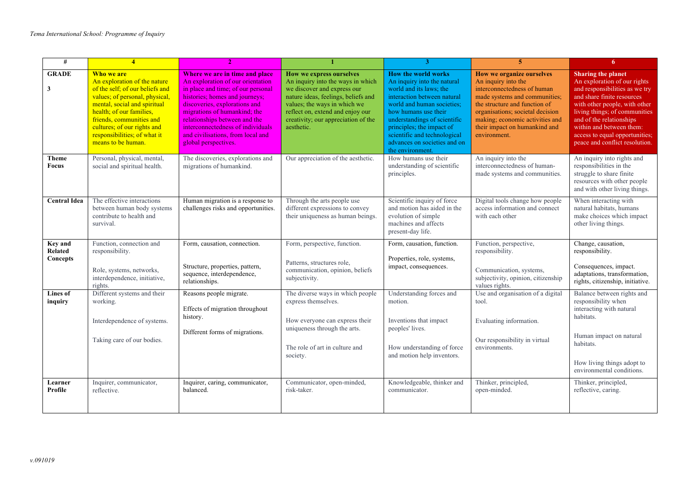| #                                     | $\overline{\mathbf{A}}$                                                                                                                                                                                                                                                                      |                                                                                                                                                                                                                                                                                                                                                 |                                                                                                                                                                                                                                                              | 3                                                                                                                                                                                                                                                                                                                          | 5.                                                                                                                                                                                                                                                                        | 6.                                                                                                                                                                                                                                                                                                                      |
|---------------------------------------|----------------------------------------------------------------------------------------------------------------------------------------------------------------------------------------------------------------------------------------------------------------------------------------------|-------------------------------------------------------------------------------------------------------------------------------------------------------------------------------------------------------------------------------------------------------------------------------------------------------------------------------------------------|--------------------------------------------------------------------------------------------------------------------------------------------------------------------------------------------------------------------------------------------------------------|----------------------------------------------------------------------------------------------------------------------------------------------------------------------------------------------------------------------------------------------------------------------------------------------------------------------------|---------------------------------------------------------------------------------------------------------------------------------------------------------------------------------------------------------------------------------------------------------------------------|-------------------------------------------------------------------------------------------------------------------------------------------------------------------------------------------------------------------------------------------------------------------------------------------------------------------------|
| <b>GRADE</b><br>3                     | Who we are<br>An exploration of the nature<br>of the self; of our beliefs and<br>values; of personal, physical,<br>mental, social and spiritual<br>health; of our families,<br>friends, communities and<br>cultures; of our rights and<br>responsibilities; of what it<br>means to be human. | Where we are in time and place<br>An exploration of our orientation<br>in place and time; of our personal<br>histories; homes and journeys;<br>discoveries, explorations and<br>migrations of humankind; the<br>relationships between and the<br>interconnectedness of individuals<br>and civilisations, from local and<br>global perspectives. | How we express ourselves<br>An inquiry into the ways in which<br>we discover and express our<br>nature ideas, feelings, beliefs and<br>values; the ways in which we<br>reflect on, extend and enjoy our<br>creativity; our appreciation of the<br>aesthetic. | <b>How the world works</b><br>An inquiry into the natural<br>world and its laws: the<br>interaction between natural<br>world and human societies;<br>how humans use their<br>understandings of scientific<br>principles; the impact of<br>scientific and technological<br>advances on societies and on<br>the environment. | How we organize ourselves<br>An inquiry into the<br>interconnectedness of human<br>made systems and communities;<br>the structure and function of<br>organisations; societal decision<br>making; economic activities and<br>their impact on humankind and<br>environment. | <b>Sharing the planet</b><br>An exploration of our rights<br>and responsibilities as we try<br>and share finite resources<br>with other people, with other<br>living things; of communities<br>and of the relationships<br>within and between them:<br>access to equal opportunities;<br>peace and conflict resolution. |
| <b>Theme</b><br><b>Focus</b>          | Personal, physical, mental,<br>social and spiritual health.                                                                                                                                                                                                                                  | The discoveries, explorations and<br>migrations of humankind.                                                                                                                                                                                                                                                                                   | Our appreciation of the aesthetic.                                                                                                                                                                                                                           | How humans use their<br>understanding of scientific<br>principles.                                                                                                                                                                                                                                                         | An inquiry into the<br>interconnectedness of human-<br>made systems and communities.                                                                                                                                                                                      | An inquiry into rights and<br>responsibilities in the<br>struggle to share finite<br>resources with other people<br>and with other living things.                                                                                                                                                                       |
| <b>Central Idea</b>                   | The effective interactions<br>between human body systems<br>contribute to health and<br>survival.                                                                                                                                                                                            | Human migration is a response to<br>challenges risks and opportunities.                                                                                                                                                                                                                                                                         | Through the arts people use<br>different expressions to convey<br>their uniqueness as human beings.                                                                                                                                                          | Scientific inquiry of force<br>and motion has aided in the<br>evolution of simple<br>machines and affects<br>present-day life.                                                                                                                                                                                             | Digital tools change how people<br>access information and connect<br>with each other                                                                                                                                                                                      | When interacting with<br>natural habitats, humans<br>make choices which impact<br>other living things.                                                                                                                                                                                                                  |
| <b>Key and</b><br>Related<br>Concepts | Function, connection and<br>responsibility.<br>Role, systems, networks,<br>interdependence, initiative,<br>rights.                                                                                                                                                                           | Form, causation, connection.<br>Structure, properties, pattern,<br>sequence, interdependence,<br>relationships.                                                                                                                                                                                                                                 | Form, perspective, function.<br>Patterns, structures role,<br>communication, opinion, beliefs<br>subjectivity.                                                                                                                                               | Form, causation, function.<br>Properties, role, systems,<br>impact, consequences.                                                                                                                                                                                                                                          | Function, perspective,<br>responsibility.<br>Communication, systems,<br>subjectivity, opinion, citizenship<br>values rights.                                                                                                                                              | Change, causation,<br>responsibility.<br>Consequences, impact.<br>adaptations, transformation,<br>rights, citizenship, initiative.                                                                                                                                                                                      |
| Lines of<br>inquiry                   | Different systems and their<br>working.<br>Interdependence of systems.<br>Taking care of our bodies.                                                                                                                                                                                         | Reasons people migrate.<br>Effects of migration throughout<br>history.<br>Different forms of migrations.                                                                                                                                                                                                                                        | The diverse ways in which people<br>express themselves.<br>How everyone can express their<br>uniqueness through the arts.<br>The role of art in culture and<br>society.                                                                                      | Understanding forces and<br>motion.<br>Inventions that impact<br>peoples' lives.<br>How understanding of force<br>and motion help inventors.                                                                                                                                                                               | Use and organisation of a digital<br>tool.<br>Evaluating information.<br>Our responsibility in virtual<br>environments.                                                                                                                                                   | Balance between rights and<br>responsibility when<br>interacting with natural<br>habitats.<br>Human impact on natural<br>habitats.<br>How living things adopt to<br>environmental conditions.                                                                                                                           |
| Learner<br>Profile                    | Inquirer, communicator,<br>reflective.                                                                                                                                                                                                                                                       | Inquirer, caring, communicator,<br>balanced.                                                                                                                                                                                                                                                                                                    | Communicator, open-minded,<br>risk-taker.                                                                                                                                                                                                                    | Knowledgeable, thinker and<br>communicator.                                                                                                                                                                                                                                                                                | Thinker, principled,<br>open-minded.                                                                                                                                                                                                                                      | Thinker, principled,<br>reflective, caring.                                                                                                                                                                                                                                                                             |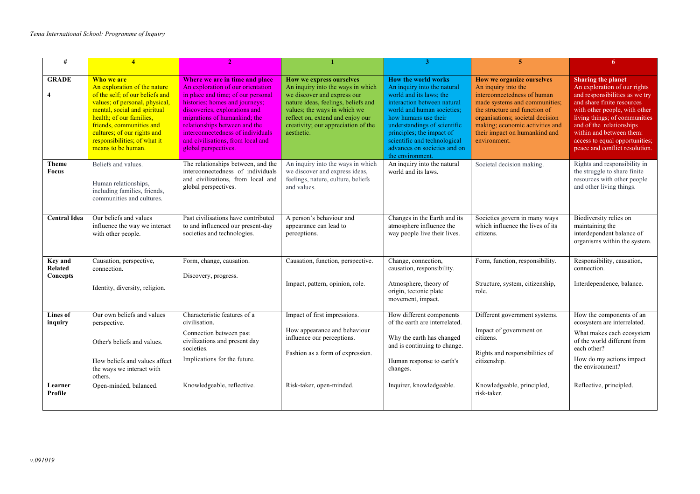| #                                     |                                                                                                                                                                                                                                                                                              |                                                                                                                                                                                                                                                                                                                                                 |                                                                                                                                                                                                                                                              |                                                                                                                                                                                                                                                                                                                            | 5                                                                                                                                                                                                                                                                         | 6.                                                                                                                                                                                                                                                                                                                      |
|---------------------------------------|----------------------------------------------------------------------------------------------------------------------------------------------------------------------------------------------------------------------------------------------------------------------------------------------|-------------------------------------------------------------------------------------------------------------------------------------------------------------------------------------------------------------------------------------------------------------------------------------------------------------------------------------------------|--------------------------------------------------------------------------------------------------------------------------------------------------------------------------------------------------------------------------------------------------------------|----------------------------------------------------------------------------------------------------------------------------------------------------------------------------------------------------------------------------------------------------------------------------------------------------------------------------|---------------------------------------------------------------------------------------------------------------------------------------------------------------------------------------------------------------------------------------------------------------------------|-------------------------------------------------------------------------------------------------------------------------------------------------------------------------------------------------------------------------------------------------------------------------------------------------------------------------|
| <b>GRADE</b>                          | Who we are<br>An exploration of the nature<br>of the self; of our beliefs and<br>values; of personal, physical,<br>mental, social and spiritual<br>health; of our families,<br>friends, communities and<br>cultures; of our rights and<br>responsibilities; of what it<br>means to be human. | Where we are in time and place<br>An exploration of our orientation<br>in place and time; of our personal<br>histories; homes and journeys;<br>discoveries, explorations and<br>migrations of humankind; the<br>relationships between and the<br>interconnectedness of individuals<br>and civilisations, from local and<br>global perspectives. | How we express ourselves<br>An inquiry into the ways in which<br>we discover and express our<br>nature ideas, feelings, beliefs and<br>values; the ways in which we<br>reflect on, extend and enjoy our<br>creativity; our appreciation of the<br>aesthetic. | <b>How the world works</b><br>An inquiry into the natural<br>world and its laws; the<br>interaction between natural<br>world and human societies;<br>how humans use their<br>understandings of scientific<br>principles; the impact of<br>scientific and technological<br>advances on societies and on<br>the environment. | How we organize ourselves<br>An inquiry into the<br>interconnectedness of human<br>made systems and communities;<br>the structure and function of<br>organisations; societal decision<br>making; economic activities and<br>their impact on humankind and<br>environment. | <b>Sharing the planet</b><br>An exploration of our rights<br>and responsibilities as we try<br>and share finite resources<br>with other people, with other<br>living things; of communities<br>and of the relationships<br>within and between them:<br>access to equal opportunities;<br>peace and conflict resolution. |
| Theme<br><b>Focus</b>                 | Beliefs and values.<br>Human relationships,<br>including families, friends,<br>communities and cultures.                                                                                                                                                                                     | The relationships between, and the<br>interconnectedness of individuals<br>and civilizations, from local and<br>global perspectives.                                                                                                                                                                                                            | An inquiry into the ways in which<br>we discover and express ideas,<br>feelings, nature, culture, beliefs<br>and values.                                                                                                                                     | An inquiry into the natural<br>world and its laws.                                                                                                                                                                                                                                                                         | Societal decision making.                                                                                                                                                                                                                                                 | Rights and responsibility in<br>the struggle to share finite<br>resources with other people<br>and other living things.                                                                                                                                                                                                 |
| <b>Central Idea</b>                   | Our beliefs and values<br>influence the way we interact<br>with other people.                                                                                                                                                                                                                | Past civilisations have contributed<br>to and influenced our present-day<br>societies and technologies.                                                                                                                                                                                                                                         | A person's behaviour and<br>appearance can lead to<br>perceptions.                                                                                                                                                                                           | Changes in the Earth and its<br>atmosphere influence the<br>way people live their lives.                                                                                                                                                                                                                                   | Societies govern in many ways<br>which influence the lives of its<br>citizens.                                                                                                                                                                                            | Biodiversity relies on<br>maintaining the<br>interdependent balance of<br>organisms within the system.                                                                                                                                                                                                                  |
| <b>Key and</b><br>Related<br>Concepts | Causation, perspective,<br>connection.<br>Identity, diversity, religion.                                                                                                                                                                                                                     | Form, change, causation.<br>Discovery, progress.                                                                                                                                                                                                                                                                                                | Causation, function, perspective.<br>Impact, pattern, opinion, role.                                                                                                                                                                                         | Change, connection,<br>causation, responsibility.<br>Atmosphere, theory of<br>origin, tectonic plate<br>movement, impact.                                                                                                                                                                                                  | Form, function, responsibility.<br>Structure, system, citizenship,<br>role.                                                                                                                                                                                               | Responsibility, causation,<br>connection.<br>Interdependence, balance.                                                                                                                                                                                                                                                  |
| Lines of<br>inquiry                   | Our own beliefs and values<br>perspective.<br>Other's beliefs and values.<br>How beliefs and values affect<br>the ways we interact with<br>others.                                                                                                                                           | Characteristic features of a<br>civilisation.<br>Connection between past<br>civilizations and present day<br>societies.<br>Implications for the future.                                                                                                                                                                                         | Impact of first impressions.<br>How appearance and behaviour<br>influence our perceptions.<br>Fashion as a form of expression.                                                                                                                               | How different components<br>of the earth are interrelated.<br>Why the earth has changed<br>and is continuing to change.<br>Human response to earth's<br>changes.                                                                                                                                                           | Different government systems.<br>Impact of government on<br>citizens.<br>Rights and responsibilities of<br>citizenship.                                                                                                                                                   | How the components of an<br>ecosystem are interrelated.<br>What makes each ecosystem<br>of the world different from<br>each other?<br>How do my actions impact<br>the environment?                                                                                                                                      |
| Learner<br>Profile                    | Open-minded, balanced.                                                                                                                                                                                                                                                                       | Knowledgeable, reflective.                                                                                                                                                                                                                                                                                                                      | Risk-taker, open-minded.                                                                                                                                                                                                                                     | Inquirer, knowledgeable.                                                                                                                                                                                                                                                                                                   | Knowledgeable, principled,<br>risk-taker.                                                                                                                                                                                                                                 | Reflective, principled.                                                                                                                                                                                                                                                                                                 |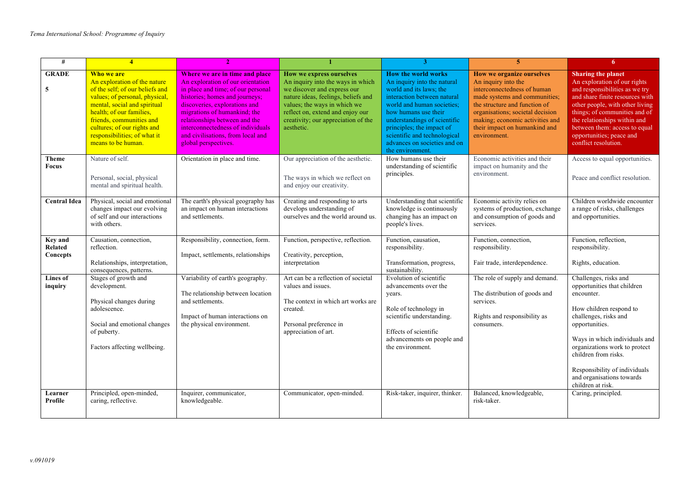| #                              | $\overline{4}$                                                                                                                                                                                                                                                                               |                                                                                                                                                                                                                                                                                                                                                 |                                                                                                                                                                                                                                                              | 3                                                                                                                                                                                                                                                                                                                          | 5                                                                                                                                                                                                                                                                         | 6                                                                                                                                                                                                                                                                                                                       |
|--------------------------------|----------------------------------------------------------------------------------------------------------------------------------------------------------------------------------------------------------------------------------------------------------------------------------------------|-------------------------------------------------------------------------------------------------------------------------------------------------------------------------------------------------------------------------------------------------------------------------------------------------------------------------------------------------|--------------------------------------------------------------------------------------------------------------------------------------------------------------------------------------------------------------------------------------------------------------|----------------------------------------------------------------------------------------------------------------------------------------------------------------------------------------------------------------------------------------------------------------------------------------------------------------------------|---------------------------------------------------------------------------------------------------------------------------------------------------------------------------------------------------------------------------------------------------------------------------|-------------------------------------------------------------------------------------------------------------------------------------------------------------------------------------------------------------------------------------------------------------------------------------------------------------------------|
| <b>GRADE</b><br>5              | Who we are<br>An exploration of the nature<br>of the self; of our beliefs and<br>values; of personal, physical,<br>mental, social and spiritual<br>health: of our families.<br>friends, communities and<br>cultures; of our rights and<br>responsibilities; of what it<br>means to be human. | Where we are in time and place<br>An exploration of our orientation<br>in place and time; of our personal<br>histories; homes and journeys;<br>discoveries, explorations and<br>migrations of humankind; the<br>relationships between and the<br>interconnectedness of individuals<br>and civilisations, from local and<br>global perspectives. | How we express ourselves<br>An inquiry into the ways in which<br>we discover and express our<br>nature ideas, feelings, beliefs and<br>values; the ways in which we<br>reflect on, extend and enjoy our<br>creativity; our appreciation of the<br>aesthetic. | <b>How the world works</b><br>An inquiry into the natural<br>world and its laws; the<br>interaction between natural<br>world and human societies;<br>how humans use their<br>understandings of scientific<br>principles; the impact of<br>scientific and technological<br>advances on societies and on<br>the environment. | How we organize ourselves<br>An inquiry into the<br>interconnectedness of human<br>made systems and communities;<br>the structure and function of<br>organisations; societal decision<br>making; economic activities and<br>their impact on humankind and<br>environment. | <b>Sharing the planet</b><br>An exploration of our rights<br>and responsibilities as we try<br>and share finite resources with<br>other people, with other living<br>things; of communities and of<br>the relationships within and<br>between them: access to equal<br>opportunities; peace and<br>conflict resolution. |
| Theme<br>Focus                 | Nature of self.<br>Personal, social, physical<br>mental and spiritual health.                                                                                                                                                                                                                | Orientation in place and time.                                                                                                                                                                                                                                                                                                                  | Our appreciation of the aesthetic.<br>The ways in which we reflect on<br>and enjoy our creativity.                                                                                                                                                           | How humans use their<br>understanding of scientific<br>principles.                                                                                                                                                                                                                                                         | Economic activities and their<br>impact on humanity and the<br>environment.                                                                                                                                                                                               | Access to equal opportunities.<br>Peace and conflict resolution.                                                                                                                                                                                                                                                        |
| <b>Central Idea</b>            | Physical, social and emotional<br>changes impact our evolving<br>of self and our interactions<br>with others.                                                                                                                                                                                | The earth's physical geography has<br>an impact on human interactions<br>and settlements.                                                                                                                                                                                                                                                       | Creating and responding to arts<br>develops understanding of<br>ourselves and the world around us.                                                                                                                                                           | Understanding that scientific<br>knowledge is continuously<br>changing has an impact on<br>people's lives.                                                                                                                                                                                                                 | Economic activity relies on<br>systems of production, exchange<br>and consumption of goods and<br>services.                                                                                                                                                               | Children worldwide encounter<br>a range of risks, challenges<br>and opportunities.                                                                                                                                                                                                                                      |
| Key and<br>Related<br>Concepts | Causation, connection,<br>reflection.<br>Relationships, interpretation,<br>consequences, patterns.                                                                                                                                                                                           | Responsibility, connection, form.<br>Impact, settlements, relationships                                                                                                                                                                                                                                                                         | Function, perspective, reflection.<br>Creativity, perception,<br>interpretation                                                                                                                                                                              | Function, causation,<br>responsibility.<br>Transformation, progress,<br>sustainability.                                                                                                                                                                                                                                    | Function, connection,<br>responsibility.<br>Fair trade, interdependence.                                                                                                                                                                                                  | Function, reflection,<br>responsibility.<br>Rights, education.                                                                                                                                                                                                                                                          |
| <b>Lines of</b><br>inquiry     | Stages of growth and<br>development.<br>Physical changes during<br>adolescence.<br>Social and emotional changes<br>of puberty.<br>Factors affecting wellbeing.                                                                                                                               | Variability of earth's geography.<br>The relationship between location<br>and settlements.<br>Impact of human interactions on<br>the physical environment.                                                                                                                                                                                      | Art can be a reflection of societal<br>values and issues.<br>The context in which art works are<br>created.<br>Personal preference in<br>appreciation of art.                                                                                                | Evolution of scientific<br>advancements over the<br>years.<br>Role of technology in<br>scientific understanding.<br>Effects of scientific<br>advancements on people and<br>the environment.                                                                                                                                | The role of supply and demand.<br>The distribution of goods and<br>services.<br>Rights and responsibility as<br>consumers.                                                                                                                                                | Challenges, risks and<br>opportunities that children<br>encounter.<br>How children respond to<br>challenges, risks and<br>opportunities.<br>Ways in which individuals and<br>organizations work to protect<br>children from risks.<br>Responsibility of individuals<br>and organisations towards<br>children at risk.   |
| Learner<br>Profile             | Principled, open-minded,<br>caring, reflective.                                                                                                                                                                                                                                              | Inquirer, communicator,<br>knowledgeable.                                                                                                                                                                                                                                                                                                       | Communicator, open-minded.                                                                                                                                                                                                                                   | Risk-taker, inquirer, thinker.                                                                                                                                                                                                                                                                                             | Balanced, knowledgeable,<br>risk-taker.                                                                                                                                                                                                                                   | Caring, principled.                                                                                                                                                                                                                                                                                                     |